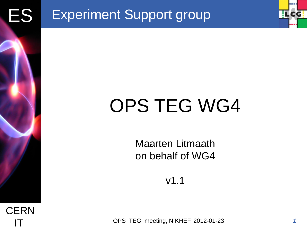



Maarten Litmaath on behalf of WG4

v1.1

**IT** OPS TEG meeting, NIKHEF, 2012-01-23

*1*

**ILCG**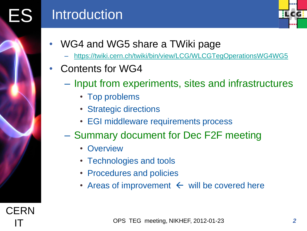# ES Introduction



- WG4 and WG5 share a TWiki page
	- <https://twiki.cern.ch/twiki/bin/view/LCG/WLCGTegOperationsWG4WG5>
- Contents for WG4
	- Input from experiments, sites and infrastructures
		- Top problems
		- Strategic directions
		- EGI middleware requirements process
	- Summary document for Dec F2F meeting
		- Overview
		- Technologies and tools
		- Procedures and policies
		- Areas of improvement  $\leftarrow$  will be covered here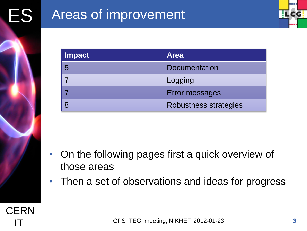

| <b>Impact</b> | <b>Area</b>           |
|---------------|-----------------------|
| 5             | <b>Documentation</b>  |
|               | Logging               |
|               | Error messages        |
| 8             | Robustness strategies |

- On the following pages first a quick overview of those areas
- Then a set of observations and ideas for progress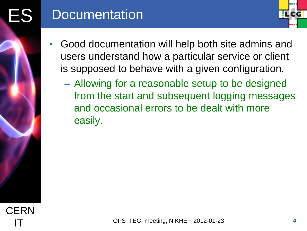

- Good documentation will help both site admins and users understand how a particular service or client is supposed to behave with a given configuration.
	- Allowing for a reasonable setup to be designed from the start and subsequent logging messages and occasional errors to be dealt with more easily.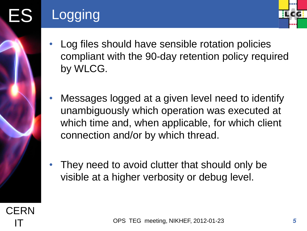

- ES Logging
	- Log files should have sensible rotation policies compliant with the 90-day retention policy required by WLCG.
	- Messages logged at a given level need to identify unambiguously which operation was executed at which time and, when applicable, for which client connection and/or by which thread.
	- They need to avoid clutter that should only be visible at a higher verbosity or debug level.

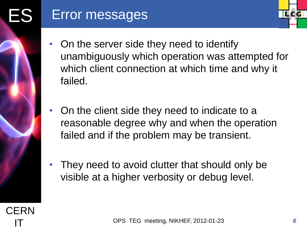

- On the server side they need to identify unambiguously which operation was attempted for which client connection at which time and why it failed.
- On the client side they need to indicate to a reasonable degree why and when the operation failed and if the problem may be transient.
- They need to avoid clutter that should only be visible at a higher verbosity or debug level.

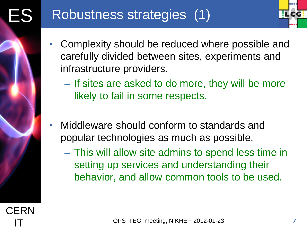

- Complexity should be reduced where possible and carefully divided between sites, experiments and infrastructure providers.
	- If sites are asked to do more, they will be more likely to fail in some respects.
- Middleware should conform to standards and popular technologies as much as possible.
	- This will allow site admins to spend less time in setting up services and understanding their behavior, and allow common tools to be used.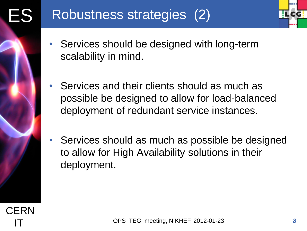- **ILCG**
- Services should be designed with long-term scalability in mind.
- Services and their clients should as much as possible be designed to allow for load-balanced deployment of redundant service instances.
- Services should as much as possible be designed to allow for High Availability solutions in their deployment.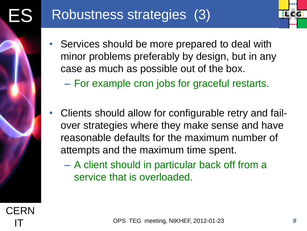

- Services should be more prepared to deal with minor problems preferably by design, but in any case as much as possible out of the box.
	- For example cron jobs for graceful restarts.
- Clients should allow for configurable retry and failover strategies where they make sense and have reasonable defaults for the maximum number of attempts and the maximum time spent.
	- A client should in particular back off from a service that is overloaded.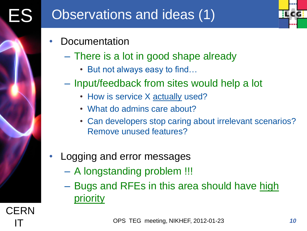

- **Documentation** 
	- There is a lot in good shape already
		- But not always easy to find…
	- Input/feedback from sites would help a lot
		- How is service X actually used?
		- What do admins care about?
		- Can developers stop caring about irrelevant scenarios? Remove unused features?

# • Logging and error messages

- A longstanding problem !!!
- Bugs and RFEs in this area should have high priority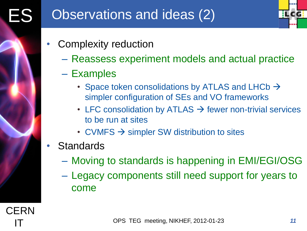**ILCG** 

- Complexity reduction
	- Reassess experiment models and actual practice
	- Examples
		- Space token consolidations by ATLAS and LHCb  $\rightarrow$ simpler configuration of SEs and VO frameworks
		- LFC consolidation by ATLAS  $\rightarrow$  fewer non-trivial services to be run at sites
		- CVMFS  $\rightarrow$  simpler SW distribution to sites
- **Standards** 
	- Moving to standards is happening in EMI/EGI/OSG
	- Legacy components still need support for years to come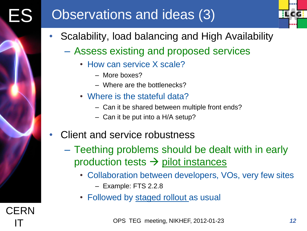# **ES** Observations and ideas (3)



- Scalability, load balancing and High Availability
	- Assess existing and proposed services
		- How can service X scale?
			- More boxes?
			- Where are the bottlenecks?
		- Where is the stateful data?
			- Can it be shared between multiple front ends?
			- Can it be put into a H/A setup?
- Client and service robustness
	- Teething problems should be dealt with in early production tests  $\rightarrow$  pilot instances
		- Collaboration between developers, VOs, very few sites
			- Example: FTS 2.2.8
		- Followed by staged rollout as usual